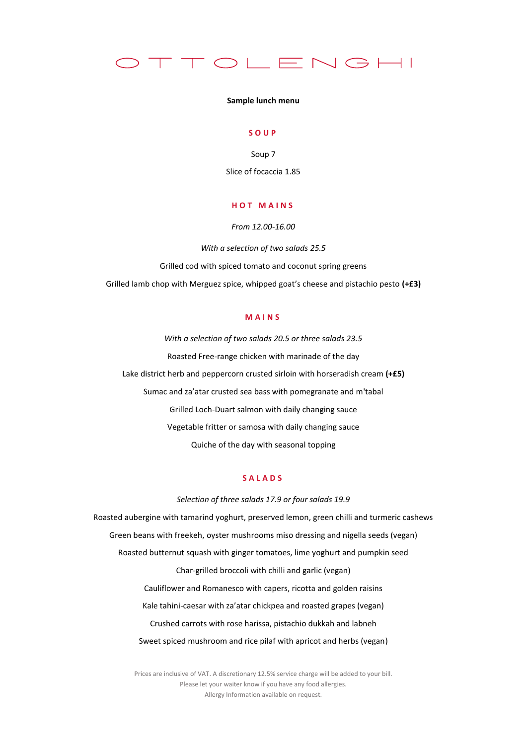

#### **Sample lunch menu**

### **S O U P**

Soup 7 Slice of focaccia 1.85

## **H O T M A I N S**

*From 12.00-16.00*

*With a selection of two salads 25.5* Grilled cod with spiced tomato and coconut spring greens Grilled lamb chop with Merguez spice, whipped goat's cheese and pistachio pesto **(+£3)**

# **M A I N S**

*With a selection of two salads 20.5 or three salads 23.5* Roasted Free-range chicken with marinade of the day Lake district herb and peppercorn crusted sirloin with horseradish cream **(+£5)** Sumac and za'atar crusted sea bass with pomegranate and m'tabal Grilled Loch-Duart salmon with daily changing sauce Vegetable fritter or samosa with daily changing sauce Quiche of the day with seasonal topping

## **S A L A D S**

*Selection of three salads 17.9 or four salads 19.9* Roasted aubergine with tamarind yoghurt, preserved lemon, green chilli and turmeric cashews Green beans with freekeh, oyster mushrooms miso dressing and nigella seeds (vegan) Roasted butternut squash with ginger tomatoes, lime yoghurt and pumpkin seed Char-grilled broccoli with chilli and garlic (vegan) Cauliflower and Romanesco with capers, ricotta and golden raisins Kale tahini-caesar with za'atar chickpea and roasted grapes (vegan) Crushed carrots with rose harissa, pistachio dukkah and labneh Sweet spiced mushroom and rice pilaf with apricot and herbs (vegan)

> Prices are inclusive of VAT. A discretionary 12.5% service charge will be added to your bill. Please let your waiter know if you have any food allergies. Allergy Information available on request.